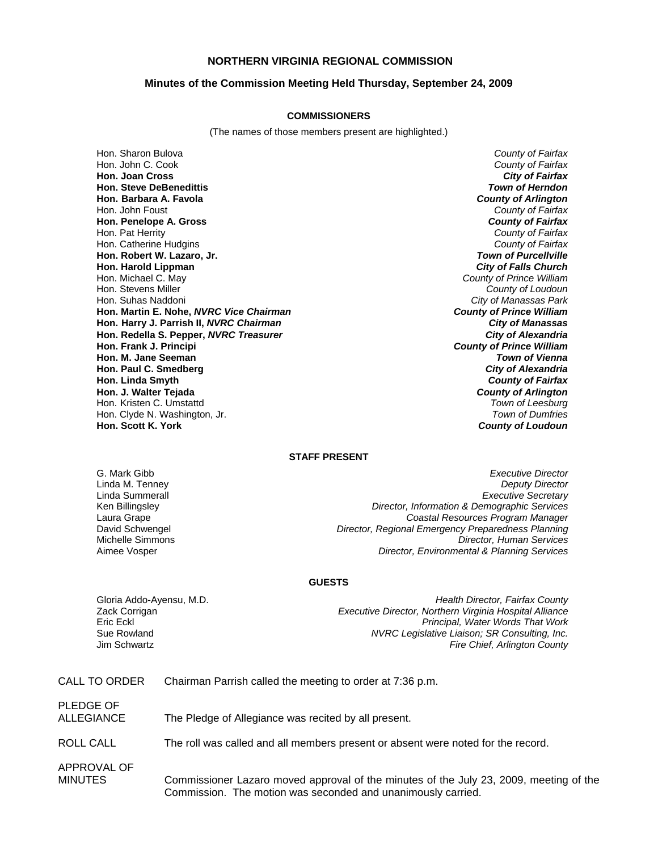### **NORTHERN VIRGINIA REGIONAL COMMISSION**

#### **Minutes of the Commission Meeting Held Thursday, September 24, 2009**

#### **COMMISSIONERS**

(The names of those members present are highlighted.)

Hon. Sharon Bulova *County of Fairfax* Hon. John C. Cook *County of Fairfax* **Hon. Joan Cross** *City of Fairfax* **Hon. Steve DeBenedittis** *Town of Herndon* **Hon. Barbara A. Favola** *County of Arlington* Hon. John Foust *County of Fairfax* **Hon. Penelope A. Gross** *County of Fairfax* Hon. Pat Herrity *County of Fairfax* Hon. Catherine Hudgins *County of Fairfax* **Hon. Robert W. Lazaro, Jr.** *Town of Purcellville* **Hon. Harold Lippman**<br>Hon. Michael C. May Hon. Michael C. May *County of Prince William* Hon. Stevens Miller *County of Loudoun* **Hon. Martin E. Nohe,** *NVRC Vice Chairman* **Hon. Harry J. Parrish II,** *NVRC Chairman City of Manassas* **Hon. Redella S. Pepper,** *NVRC Treasurer City of Alexandria* **Hon. Frank J. Principi** *County of Prince William* **Hon. M. Jane Seeman Hon. Paul C. Smedberg** *City of Alexandria* **Hon. Linda Smyth** *County of Fairfax* **Hon. J. Walter Tejada** *County of Arlington* Hon. Kristen C. Umstattd Hon. Clyde N. Washington, Jr. *Town of Dumfries*

**City of Manassas Park**<br>**County of Prince William Hon. Scott K. York** *County of Loudoun*

#### **STAFF PRESENT**

G. Mark Gibb *Executive Director* Linda M. Tenney *Deputy Director* **Executive Secretary** Ken Billingsley *Director, Information & Demographic Services* Laura Grape *Coastal Resources Program Manager* David Schwengel *Director, Regional Emergency Preparedness Planning* Michelle Simmons *Director, Human Services* **Director, Environmental & Planning Services** 

#### **GUESTS**

Gloria Addo-Ayensu, M.D. *Health Director, Fairfax County* Zack Corrigan *Executive Director, Northern Virginia Hospital Alliance* Eric Eckl *Principal, Water Words That Work* Sue Rowland *NVRC Legislative Liaison; SR Consulting, Inc.* **Fire Chief, Arlington County** 

| CALL TO ORDER           | Chairman Parrish called the meeting to order at 7:36 p.m.                                                                                              |
|-------------------------|--------------------------------------------------------------------------------------------------------------------------------------------------------|
| PLEDGE OF<br>ALLEGIANCE | The Pledge of Allegiance was recited by all present.                                                                                                   |
| <b>ROLL CALL</b>        | The roll was called and all members present or absent were noted for the record.                                                                       |
| APPROVAL OF<br>MINUTES  | Commissioner Lazaro moved approval of the minutes of the July 23, 2009, meeting of the<br>Commission. The motion was seconded and unanimously carried. |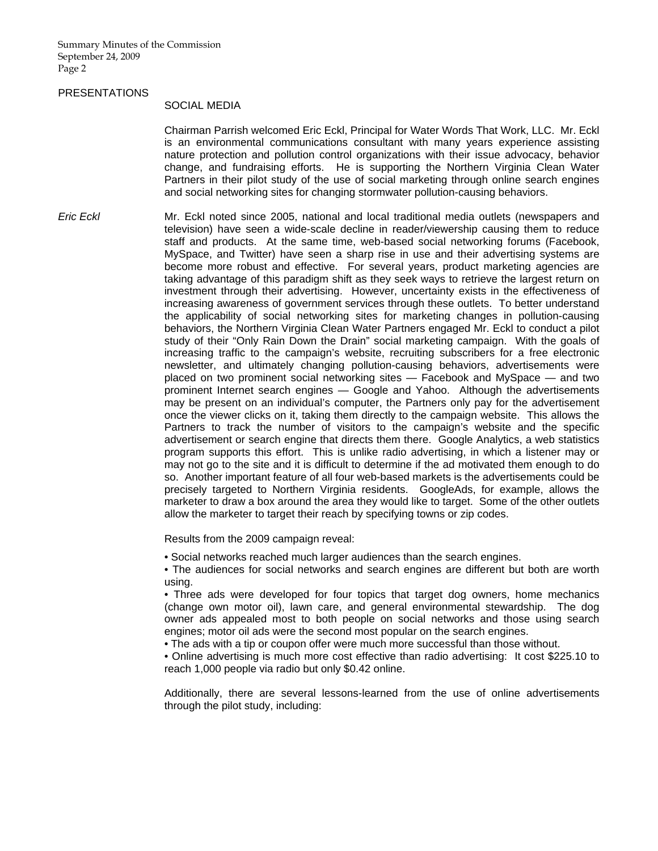#### PRESENTATIONS

#### SOCIAL MEDIA

 Chairman Parrish welcomed Eric Eckl, Principal for Water Words That Work, LLC. Mr. Eckl is an environmental communications consultant with many years experience assisting nature protection and pollution control organizations with their issue advocacy, behavior change, and fundraising efforts. He is supporting the Northern Virginia Clean Water Partners in their pilot study of the use of social marketing through online search engines and social networking sites for changing stormwater pollution-causing behaviors.

*Eric Eckl* Mr. Eckl noted since 2005, national and local traditional media outlets (newspapers and television) have seen a wide-scale decline in reader/viewership causing them to reduce staff and products. At the same time, web-based social networking forums (Facebook, MySpace, and Twitter) have seen a sharp rise in use and their advertising systems are become more robust and effective. For several years, product marketing agencies are taking advantage of this paradigm shift as they seek ways to retrieve the largest return on investment through their advertising. However, uncertainty exists in the effectiveness of increasing awareness of government services through these outlets. To better understand the applicability of social networking sites for marketing changes in pollution-causing behaviors, the Northern Virginia Clean Water Partners engaged Mr. Eckl to conduct a pilot study of their "Only Rain Down the Drain" social marketing campaign. With the goals of increasing traffic to the campaign's website, recruiting subscribers for a free electronic newsletter, and ultimately changing pollution-causing behaviors, advertisements were placed on two prominent social networking sites — Facebook and MySpace — and two prominent Internet search engines — Google and Yahoo. Although the advertisements may be present on an individual's computer, the Partners only pay for the advertisement once the viewer clicks on it, taking them directly to the campaign website. This allows the Partners to track the number of visitors to the campaign's website and the specific advertisement or search engine that directs them there. Google Analytics, a web statistics program supports this effort. This is unlike radio advertising, in which a listener may or may not go to the site and it is difficult to determine if the ad motivated them enough to do so. Another important feature of all four web-based markets is the advertisements could be precisely targeted to Northern Virginia residents. GoogleAds, for example, allows the marketer to draw a box around the area they would like to target. Some of the other outlets allow the marketer to target their reach by specifying towns or zip codes.

Results from the 2009 campaign reveal:

• Social networks reached much larger audiences than the search engines.

• The audiences for social networks and search engines are different but both are worth using.

• Three ads were developed for four topics that target dog owners, home mechanics (change own motor oil), lawn care, and general environmental stewardship. The dog owner ads appealed most to both people on social networks and those using search engines; motor oil ads were the second most popular on the search engines.

• The ads with a tip or coupon offer were much more successful than those without.

• Online advertising is much more cost effective than radio advertising: It cost \$225.10 to reach 1,000 people via radio but only \$0.42 online.

Additionally, there are several lessons-learned from the use of online advertisements through the pilot study, including: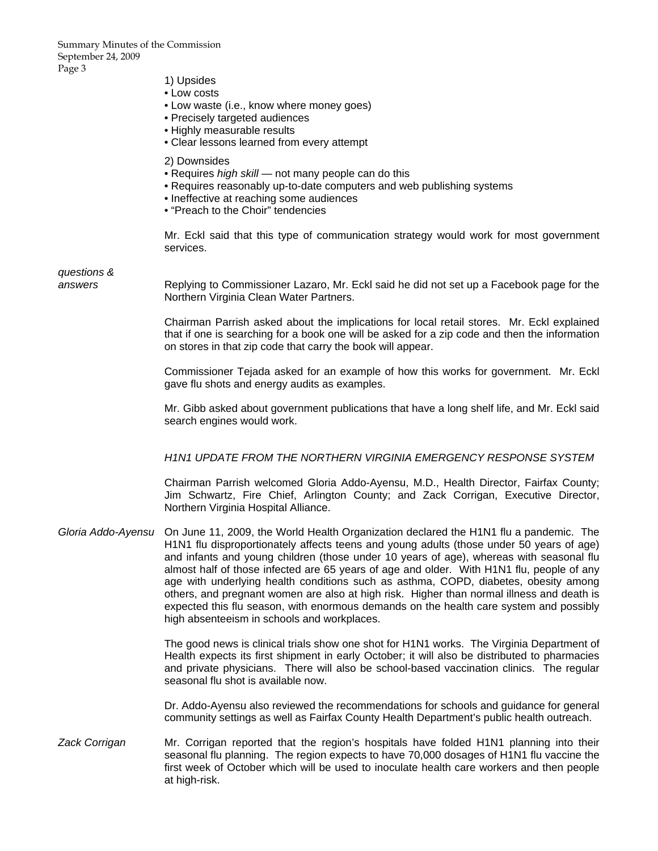- 1) Upsides
- Low costs
- Low waste (i.e., know where money goes)
- Precisely targeted audiences
- Highly measurable results
- Clear lessons learned from every attempt
- 2) Downsides
- Requires *high skill* not many people can do this
- Requires reasonably up-to-date computers and web publishing systems
- Ineffective at reaching some audiences
- "Preach to the Choir" tendencies

Mr. Eckl said that this type of communication strategy would work for most government services.

*questions &* 

*answers* Replying to Commissioner Lazaro, Mr. Eckl said he did not set up a Facebook page for the Northern Virginia Clean Water Partners.

> Chairman Parrish asked about the implications for local retail stores. Mr. Eckl explained that if one is searching for a book one will be asked for a zip code and then the information on stores in that zip code that carry the book will appear.

> Commissioner Tejada asked for an example of how this works for government. Mr. Eckl gave flu shots and energy audits as examples.

> Mr. Gibb asked about government publications that have a long shelf life, and Mr. Eckl said search engines would work.

#### *H1N1 UPDATE FROM THE NORTHERN VIRGINIA EMERGENCY RESPONSE SYSTEM*

 Chairman Parrish welcomed Gloria Addo-Ayensu, M.D., Health Director, Fairfax County; Jim Schwartz, Fire Chief, Arlington County; and Zack Corrigan, Executive Director, Northern Virginia Hospital Alliance.

*Gloria Addo-Ayensu* On June 11, 2009, the World Health Organization declared the H1N1 flu a pandemic. The H1N1 flu disproportionately affects teens and young adults (those under 50 years of age) and infants and young children (those under 10 years of age), whereas with seasonal flu almost half of those infected are 65 years of age and older. With H1N1 flu, people of any age with underlying health conditions such as asthma, COPD, diabetes, obesity among others, and pregnant women are also at high risk. Higher than normal illness and death is expected this flu season, with enormous demands on the health care system and possibly high absenteeism in schools and workplaces.

> The good news is clinical trials show one shot for H1N1 works. The Virginia Department of Health expects its first shipment in early October; it will also be distributed to pharmacies and private physicians. There will also be school-based vaccination clinics. The regular seasonal flu shot is available now.

> Dr. Addo-Ayensu also reviewed the recommendations for schools and guidance for general community settings as well as Fairfax County Health Department's public health outreach.

*Zack Corrigan* Mr. Corrigan reported that the region's hospitals have folded H1N1 planning into their seasonal flu planning. The region expects to have 70,000 dosages of H1N1 flu vaccine the first week of October which will be used to inoculate health care workers and then people at high-risk.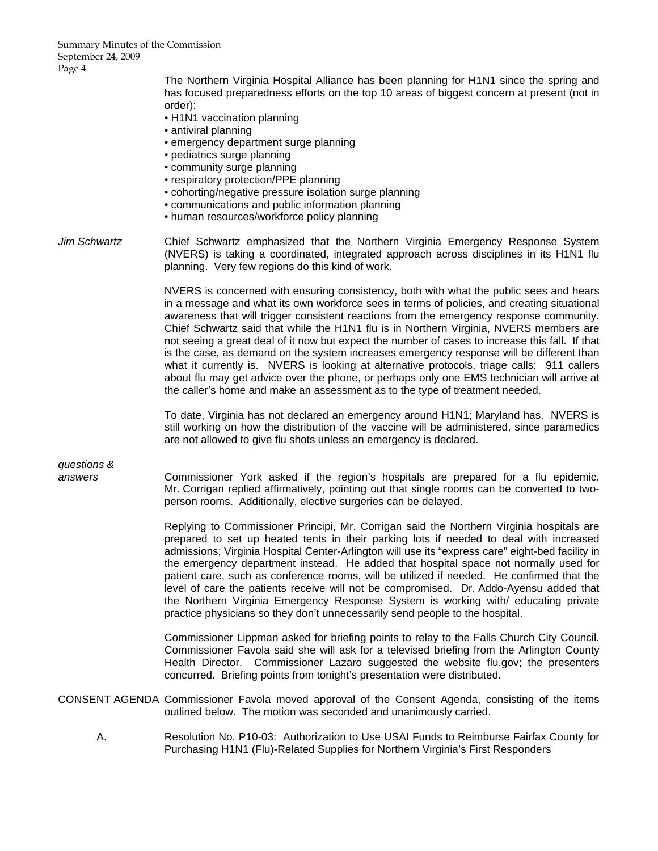> The Northern Virginia Hospital Alliance has been planning for H1N1 since the spring and has focused preparedness efforts on the top 10 areas of biggest concern at present (not in order):

- H1N1 vaccination planning
- antiviral planning
- emergency department surge planning
- pediatrics surge planning
- community surge planning
- respiratory protection/PPE planning
- cohorting/negative pressure isolation surge planning
- communications and public information planning
- human resources/workforce policy planning
- *Jim Schwartz* Chief Schwartz emphasized that the Northern Virginia Emergency Response System (NVERS) is taking a coordinated, integrated approach across disciplines in its H1N1 flu planning. Very few regions do this kind of work.

NVERS is concerned with ensuring consistency, both with what the public sees and hears in a message and what its own workforce sees in terms of policies, and creating situational awareness that will trigger consistent reactions from the emergency response community. Chief Schwartz said that while the H1N1 flu is in Northern Virginia, NVERS members are not seeing a great deal of it now but expect the number of cases to increase this fall. If that is the case, as demand on the system increases emergency response will be different than what it currently is. NVERS is looking at alternative protocols, triage calls: 911 callers about flu may get advice over the phone, or perhaps only one EMS technician will arrive at the caller's home and make an assessment as to the type of treatment needed.

To date, Virginia has not declared an emergency around H1N1; Maryland has. NVERS is still working on how the distribution of the vaccine will be administered, since paramedics are not allowed to give flu shots unless an emergency is declared.

*questions &* 

*answers* Commissioner York asked if the region's hospitals are prepared for a flu epidemic. Mr. Corrigan replied affirmatively, pointing out that single rooms can be converted to twoperson rooms. Additionally, elective surgeries can be delayed.

> Replying to Commissioner Principi, Mr. Corrigan said the Northern Virginia hospitals are prepared to set up heated tents in their parking lots if needed to deal with increased admissions; Virginia Hospital Center-Arlington will use its "express care" eight-bed facility in the emergency department instead. He added that hospital space not normally used for patient care, such as conference rooms, will be utilized if needed. He confirmed that the level of care the patients receive will not be compromised. Dr. Addo-Ayensu added that the Northern Virginia Emergency Response System is working with/ educating private practice physicians so they don't unnecessarily send people to the hospital.

> Commissioner Lippman asked for briefing points to relay to the Falls Church City Council. Commissioner Favola said she will ask for a televised briefing from the Arlington County Health Director. Commissioner Lazaro suggested the website flu.gov; the presenters concurred. Briefing points from tonight's presentation were distributed.

CONSENT AGENDA Commissioner Favola moved approval of the Consent Agenda, consisting of the items outlined below. The motion was seconded and unanimously carried.

 A. Resolution No. P10-03: Authorization to Use USAI Funds to Reimburse Fairfax County for Purchasing H1N1 (Flu)-Related Supplies for Northern Virginia's First Responders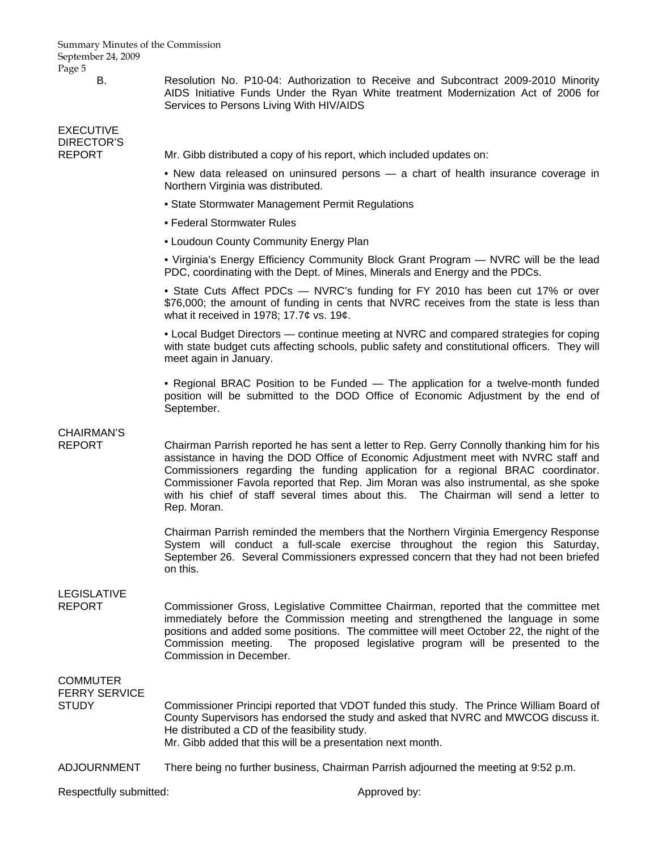B. Resolution No. P10-04: Authorization to Receive and Subcontract 2009-2010 Minority AIDS Initiative Funds Under the Ryan White treatment Modernization Act of 2006 for Services to Persons Living With HIV/AIDS

EXECUTIVE DIRECTOR'S<br>REPORT

Mr. Gibb distributed a copy of his report, which included updates on:

• New data released on uninsured persons — a chart of health insurance coverage in Northern Virginia was distributed.

- State Stormwater Management Permit Regulations
- Federal Stormwater Rules
- Loudoun County Community Energy Plan

• Virginia's Energy Efficiency Community Block Grant Program — NVRC will be the lead PDC, coordinating with the Dept. of Mines, Minerals and Energy and the PDCs.

• State Cuts Affect PDCs — NVRC's funding for FY 2010 has been cut 17% or over \$76,000; the amount of funding in cents that NVRC receives from the state is less than what it received in 1978; 17.7¢ vs. 19¢.

• Local Budget Directors — continue meeting at NVRC and compared strategies for coping with state budget cuts affecting schools, public safety and constitutional officers. They will meet again in January.

• Regional BRAC Position to be Funded — The application for a twelve-month funded position will be submitted to the DOD Office of Economic Adjustment by the end of September.

## CHAIRMAN'S

REPORT Chairman Parrish reported he has sent a letter to Rep. Gerry Connolly thanking him for his assistance in having the DOD Office of Economic Adjustment meet with NVRC staff and Commissioners regarding the funding application for a regional BRAC coordinator. Commissioner Favola reported that Rep. Jim Moran was also instrumental, as she spoke with his chief of staff several times about this. The Chairman will send a letter to Rep. Moran.

> Chairman Parrish reminded the members that the Northern Virginia Emergency Response System will conduct a full-scale exercise throughout the region this Saturday, September 26. Several Commissioners expressed concern that they had not been briefed on this.

# LEGISLATIVE

REPORT Commissioner Gross, Legislative Committee Chairman, reported that the committee met immediately before the Commission meeting and strengthened the language in some positions and added some positions. The committee will meet October 22, the night of the Commission meeting. The proposed legislative program will be presented to the Commission in December.

## **COMMUTER** FERRY SERVICE

STUDY Commissioner Principi reported that VDOT funded this study. The Prince William Board of County Supervisors has endorsed the study and asked that NVRC and MWCOG discuss it. He distributed a CD of the feasibility study. Mr. Gibb added that this will be a presentation next month.

ADJOURNMENT There being no further business, Chairman Parrish adjourned the meeting at 9:52 p.m.

Respectfully submitted:  $\blacksquare$